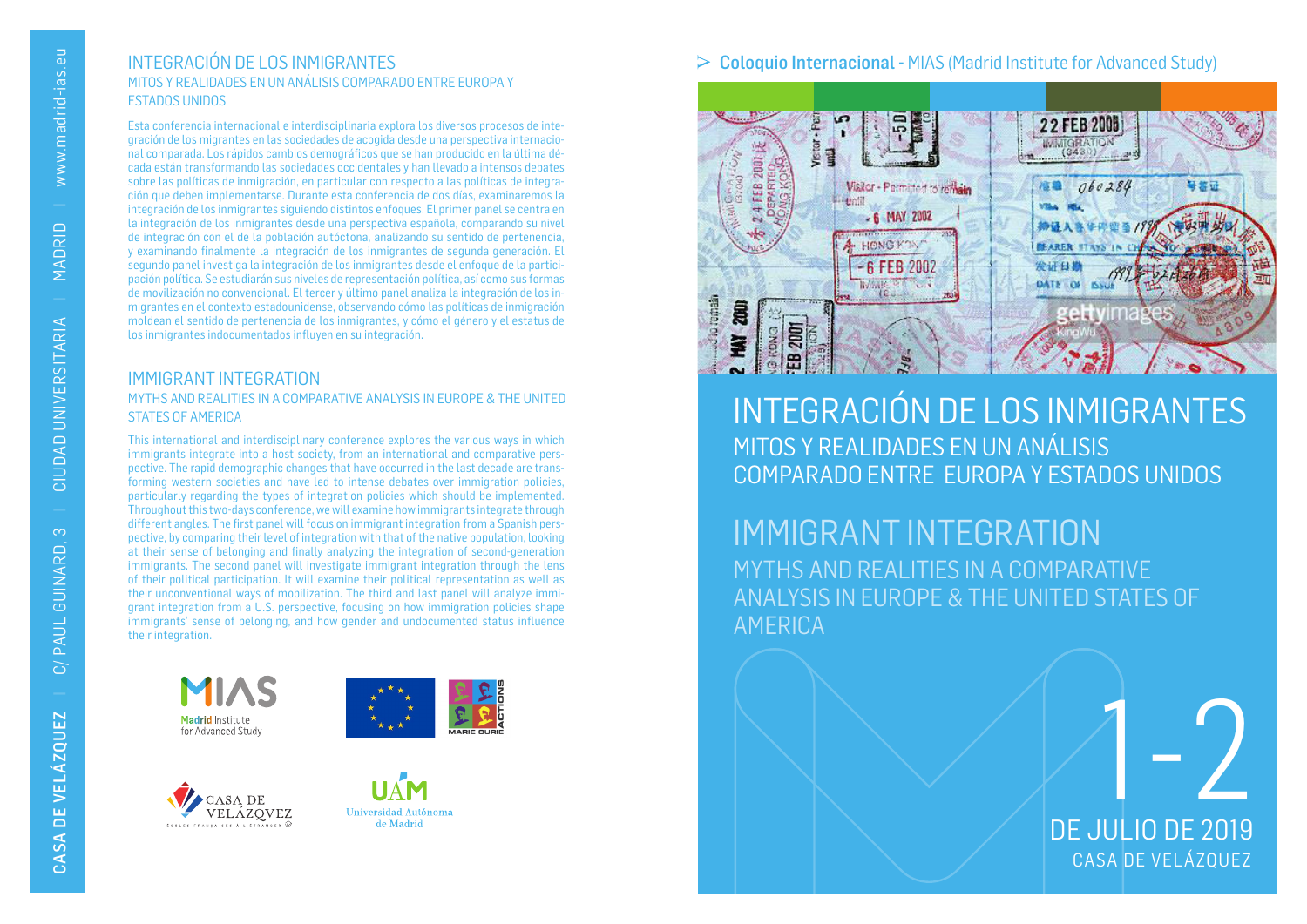### INTEGRACIÓN DE LOS INMIGRANTES MITOS Y REALIDADES EN UN ANÁLISIS COMPARADO ENTRE EUROPA Y ESTADOS UNIDOS

Esta conferencia internacional e interdisciplinaria explora los diversos procesos de integración de los migrantes en las sociedades de acogida desde una perspectiva internacional comparada. Los rápidos cambios demográficos que se han producido en la última década están transformando las sociedades occidentales y han llevado a intensos debates sobre las políticas de inmigración, en particular con respecto a las políticas de integración que deben implementarse. Durante esta conferencia de dos días, examinaremos la integración de los inmigrantes siguiendo distintos enfoques. El primer panel se centra en la integración de los inmigrantes desde una perspectiva española, comparando su nivel de integración con el de la población autóctona, analizando su sentido de pertenencia, y examinando finalmente la integración de los inmigrantes de segunda generación. El segundo panel investiga la integración de los inmigrantes desde el enfoque de la participación política. Se estudiarán sus niveles de representación política, así como sus formas de movilización no convencional. El tercer y último panel analiza la integración de los inmigrantes en el contexto estadounidense, observando cómo las políticas de inmigración moldean el sentido de pertenencia de los inmigrantes, y cómo el género y el estatus de los inmigrantes indocumentados influyen en su integración.

### IMMIGRANT INTEGRATION MYTHS AND REALITIES IN A COMPARATIVE ANALYSIS IN EUROPE & THE UNITED STATES OF AMERICA

This international and interdisciplinary conference explores the various ways in which immigrants integrate into a host society, from an international and comparative perspective. The rapid demographic changes that have occurred in the last decade are transforming western societies and have led to intense debates over immigration policies, particularly regarding the types of integration policies which should be implemented. Throughout this two-days conference, we will examine how immigrants integrate through different angles. The first panel will focus on immigrant integration from a Spanish perspective, by comparing their level of integration with that of the native population, looking at their sense of belonging and finally analyzing the integration of second-generation immigrants. The second panel will investigate immigrant integration through the lens of their political participation. It will examine their political representation as well as their unconventional ways of mobilization. The third and last panel will analyze immigrant integration from a U.S. perspective, focusing on how immigration policies shape immigrants' sense of belonging, and how gender and undocumented status influence their integration.









## $\geq$  Coloquio Internacional - MIAS (Madrid Institute for Advanced Study)



# INTEGRACIÓN DE LOS INMIGRANTES MITOS Y REALIDADES EN UN ANÁLISIS COMPARADO ENTRE EUROPA Y ESTADOS UNIDOS

# IMMIGRANT INTEGRATION MYTHS AND REALITIES IN A COMPARATIVE ANALYSIS IN EUROPE & THE UNITED STATES OF AMERICA